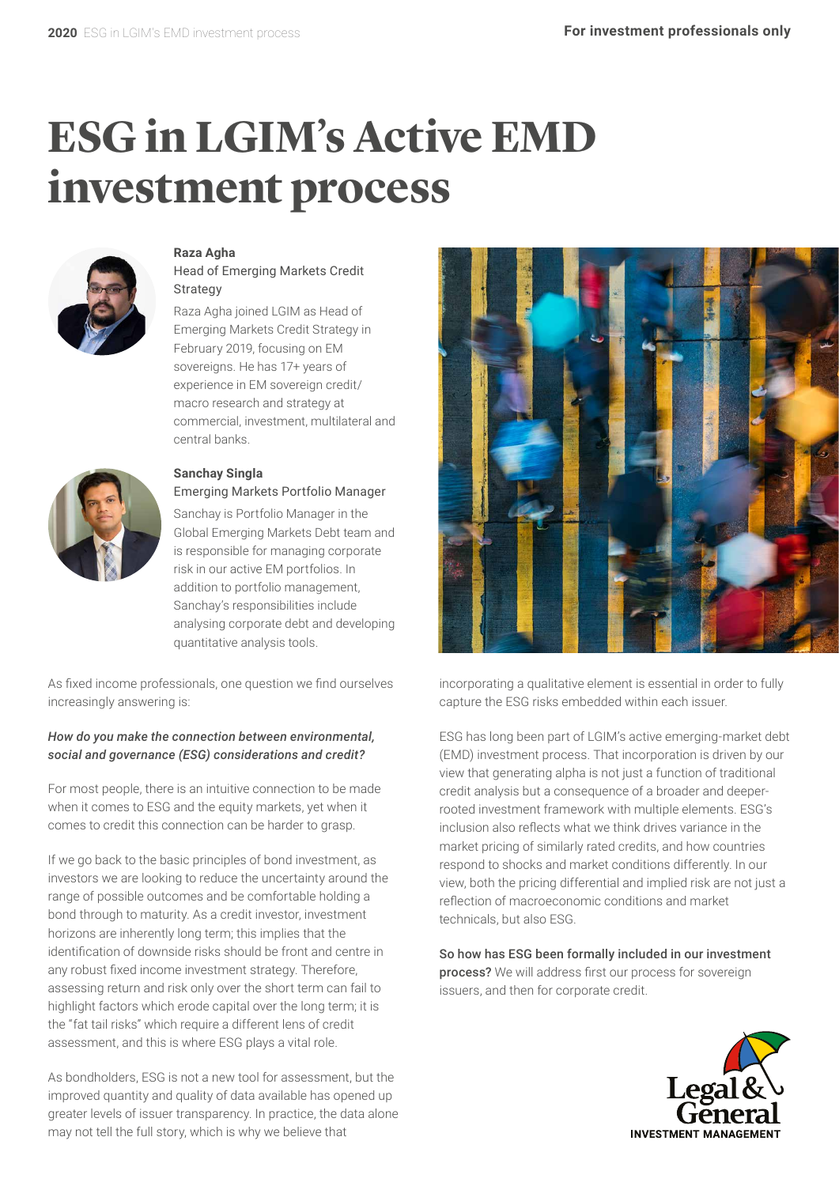# **ESG in LGIM's Active EMD investment process**



#### **Raza Agha**

Head of Emerging Markets Credit **Strategy** 

Raza Agha joined LGIM as Head of Emerging Markets Credit Strategy in February 2019, focusing on EM sovereigns. He has 17+ years of experience in EM sovereign credit/ macro research and strategy at commercial, investment, multilateral and central banks.



#### **Sanchay Singla** Emerging Markets Portfolio Manager

Sanchay is Portfolio Manager in the Global Emerging Markets Debt team and is responsible for managing corporate risk in our active EM portfolios. In addition to portfolio management, Sanchay's responsibilities include analysing corporate debt and developing quantitative analysis tools.

As fixed income professionals, one question we find ourselves increasingly answering is:

#### *How do you make the connection between environmental, social and governance (ESG) considerations and credit?*

For most people, there is an intuitive connection to be made when it comes to ESG and the equity markets, yet when it comes to credit this connection can be harder to grasp.

If we go back to the basic principles of bond investment, as investors we are looking to reduce the uncertainty around the range of possible outcomes and be comfortable holding a bond through to maturity. As a credit investor, investment horizons are inherently long term; this implies that the identification of downside risks should be front and centre in any robust fixed income investment strategy. Therefore, assessing return and risk only over the short term can fail to highlight factors which erode capital over the long term; it is the "fat tail risks" which require a different lens of credit assessment, and this is where ESG plays a vital role.

As bondholders, ESG is not a new tool for assessment, but the improved quantity and quality of data available has opened up greater levels of issuer transparency. In practice, the data alone may not tell the full story, which is why we believe that



incorporating a qualitative element is essential in order to fully capture the ESG risks embedded within each issuer.

ESG has long been part of LGIM's active emerging-market debt (EMD) investment process. That incorporation is driven by our view that generating alpha is not just a function of traditional credit analysis but a consequence of a broader and deeperrooted investment framework with multiple elements. ESG's inclusion also reflects what we think drives variance in the market pricing of similarly rated credits, and how countries respond to shocks and market conditions differently. In our view, both the pricing differential and implied risk are not just a reflection of macroeconomic conditions and market technicals, but also ESG.

So how has ESG been formally included in our investment process? We will address first our process for sovereign issuers, and then for corporate credit.

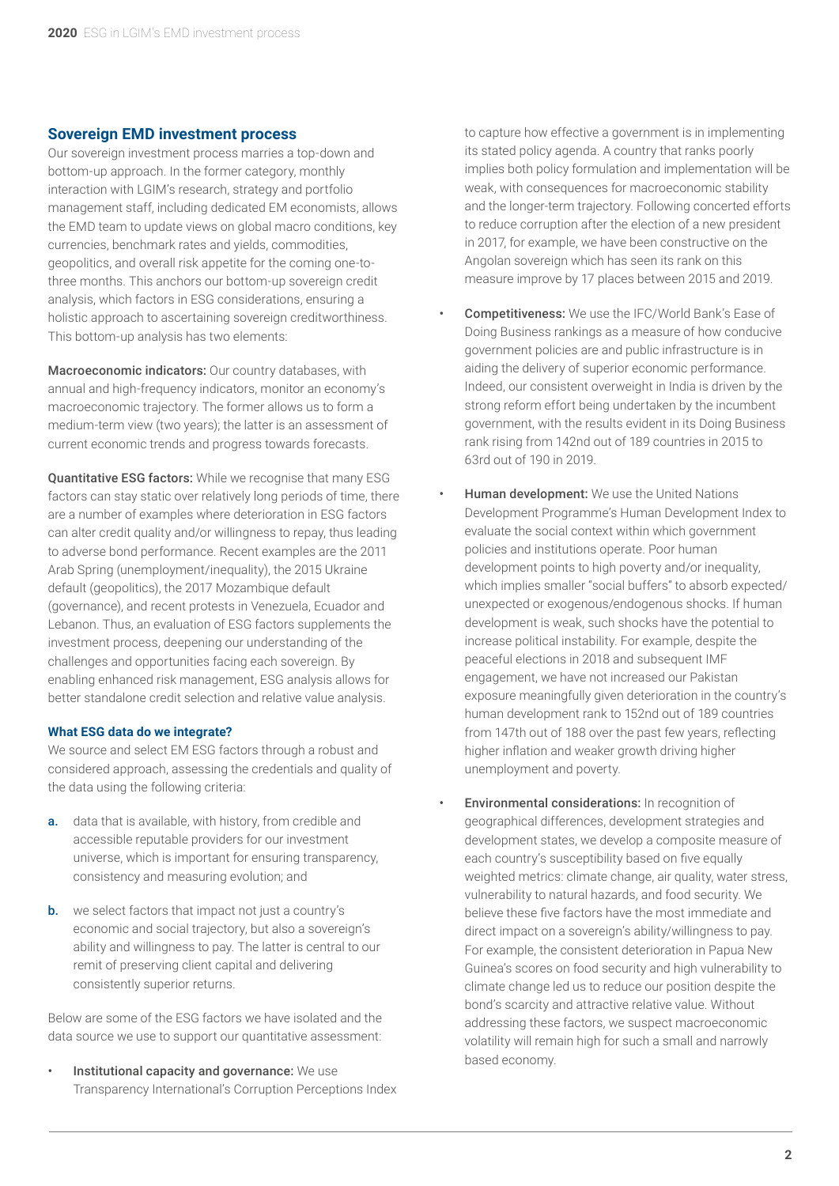#### **Sovereign EMD investment process**

Our sovereign investment process marries a top-down and bottom-up approach. In the former category, monthly interaction with LGIM's research, strategy and portfolio management staff, including dedicated EM economists, allows the EMD team to update views on global macro conditions, key currencies, benchmark rates and yields, commodities, geopolitics, and overall risk appetite for the coming one-tothree months. This anchors our bottom-up sovereign credit analysis, which factors in ESG considerations, ensuring a holistic approach to ascertaining sovereign creditworthiness. This bottom-up analysis has two elements:

Macroeconomic indicators: Our country databases, with annual and high-frequency indicators, monitor an economy's macroeconomic trajectory. The former allows us to form a medium-term view (two years); the latter is an assessment of current economic trends and progress towards forecasts.

Quantitative ESG factors: While we recognise that many ESG factors can stay static over relatively long periods of time, there are a number of examples where deterioration in ESG factors can alter credit quality and/or willingness to repay, thus leading to adverse bond performance. Recent examples are the 2011 Arab Spring (unemployment/inequality), the 2015 Ukraine default (geopolitics), the 2017 Mozambique default (governance), and recent protests in Venezuela, Ecuador and Lebanon. Thus, an evaluation of ESG factors supplements the investment process, deepening our understanding of the challenges and opportunities facing each sovereign. By enabling enhanced risk management, ESG analysis allows for better standalone credit selection and relative value analysis.

#### **What ESG data do we integrate?**

We source and select EM ESG factors through a robust and considered approach, assessing the credentials and quality of the data using the following criteria:

- a. data that is available, with history, from credible and accessible reputable providers for our investment universe, which is important for ensuring transparency, consistency and measuring evolution; and
- **b.** we select factors that impact not just a country's economic and social trajectory, but also a sovereign's ability and willingness to pay. The latter is central to our remit of preserving client capital and delivering consistently superior returns.

Below are some of the ESG factors we have isolated and the data source we use to support our quantitative assessment:

Institutional capacity and governance: We use Transparency International's Corruption Perceptions Index to capture how effective a government is in implementing its stated policy agenda. A country that ranks poorly implies both policy formulation and implementation will be weak, with consequences for macroeconomic stability and the longer-term trajectory. Following concerted efforts to reduce corruption after the election of a new president in 2017, for example, we have been constructive on the Angolan sovereign which has seen its rank on this measure improve by 17 places between 2015 and 2019.

- Competitiveness: We use the IFC/World Bank's Ease of Doing Business rankings as a measure of how conducive government policies are and public infrastructure is in aiding the delivery of superior economic performance. Indeed, our consistent overweight in India is driven by the strong reform effort being undertaken by the incumbent government, with the results evident in its Doing Business rank rising from 142nd out of 189 countries in 2015 to 63rd out of 190 in 2019.
- **Human development:** We use the United Nations Development Programme's Human Development Index to evaluate the social context within which government policies and institutions operate. Poor human development points to high poverty and/or inequality, which implies smaller "social buffers" to absorb expected/ unexpected or exogenous/endogenous shocks. If human development is weak, such shocks have the potential to increase political instability. For example, despite the peaceful elections in 2018 and subsequent IMF engagement, we have not increased our Pakistan exposure meaningfully given deterioration in the country's human development rank to 152nd out of 189 countries from 147th out of 188 over the past few years, reflecting higher inflation and weaker growth driving higher unemployment and poverty.
- **Environmental considerations:** In recognition of geographical differences, development strategies and development states, we develop a composite measure of each country's susceptibility based on five equally weighted metrics: climate change, air quality, water stress, vulnerability to natural hazards, and food security. We believe these five factors have the most immediate and direct impact on a sovereign's ability/willingness to pay. For example, the consistent deterioration in Papua New Guinea's scores on food security and high vulnerability to climate change led us to reduce our position despite the bond's scarcity and attractive relative value. Without addressing these factors, we suspect macroeconomic volatility will remain high for such a small and narrowly based economy.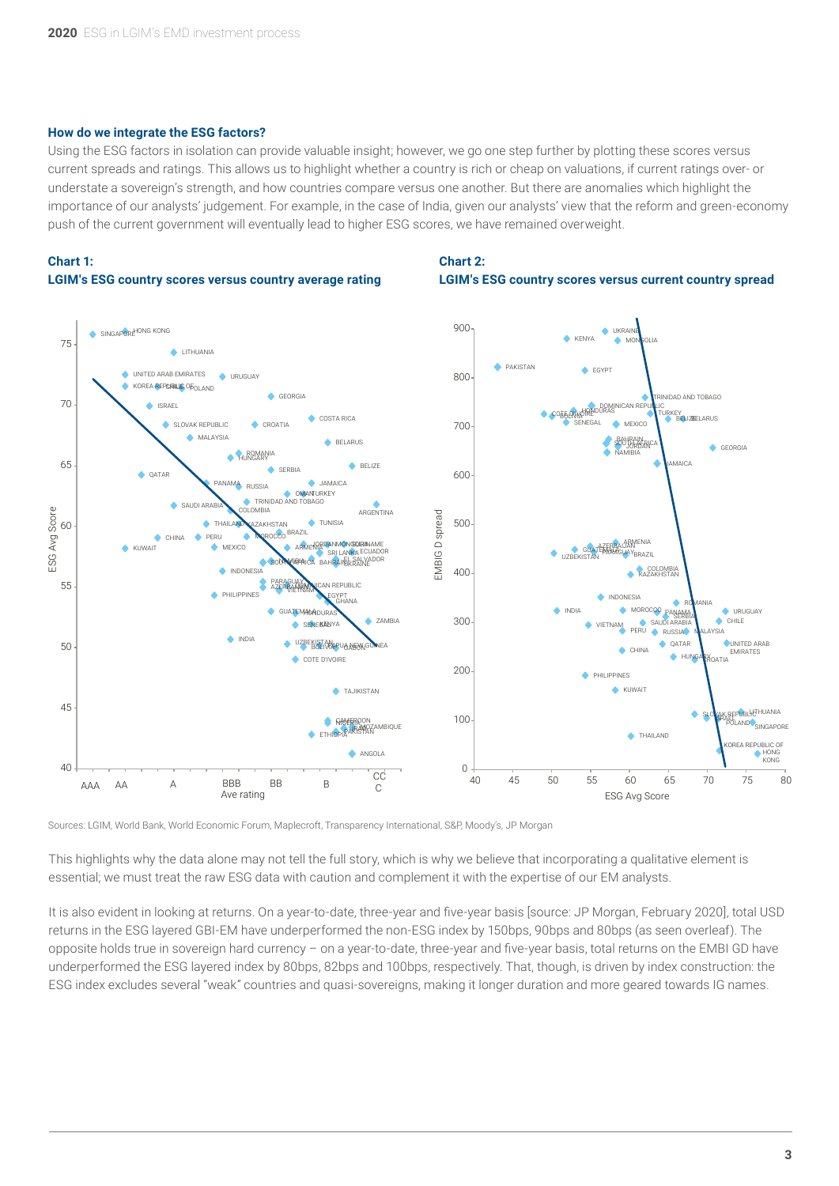#### **How do we integrate the ESG factors?**

Using the ESG factors in isolation can provide valuable insight; however, we go one step further by plotting these scores versus current spreads and ratings. This allows us to highlight whether a country is rich or cheap on valuations, if current ratings over- or understate a sovereign's strength, and how countries compare versus one another. But there are anomalies which highlight the importance of our analysts' judgement. For example, in the case of India, given our analysts' view that the reform and green-economy push of the current government will eventually lead to higher ESG scores, we have remained overweight.

## **Chart 1:**

#### **LGIM's ESG country scores versus country average rating**

### **Chart 2: LGIM's ESG country scores versus current country spread**



Sources: LGIM, World Bank, World Economic Forum, Maplecroft, Transparency International, S&P, Moody's, JP Morgan

This highlights why the data alone may not tell the full story, which is why we believe that incorporating a qualitative element is essential; we must treat the raw ESG data with caution and complement it with the expertise of our EM analysts.

It is also evident in looking at returns. On a year-to-date, three-year and five-year basis [source: JP Morgan, February 2020], total USD returns in the ESG layered GBI-EM have underperformed the non-ESG index by 150bps, 90bps and 80bps (as seen overleaf). The opposite holds true in sovereign hard currency – on a year-to-date, three-year and five-year basis, total returns on the EMBI GD have underperformed the ESG layered index by 80bps, 82bps and 100bps, respectively. That, though, is driven by index construction: the ESG index excludes several "weak" countries and quasi-sovereigns, making it longer duration and more geared towards IG names.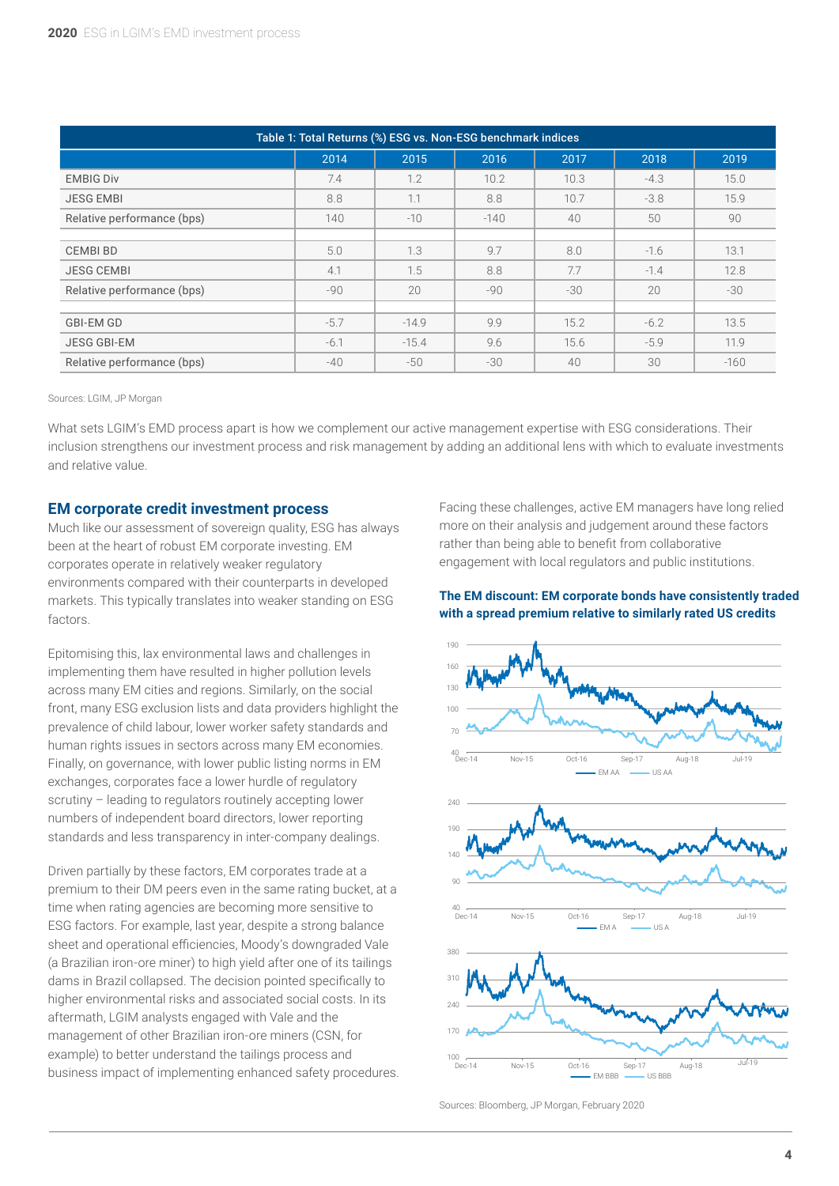| Table 1: Total Returns (%) ESG vs. Non-ESG benchmark indices |        |         |        |       |        |        |
|--------------------------------------------------------------|--------|---------|--------|-------|--------|--------|
|                                                              | 2014   | 2015    | 2016   | 2017  | 2018   | 2019   |
| <b>EMBIG Div</b>                                             | 7.4    | 1.2     | 10.2   | 10.3  | $-4.3$ | 15.0   |
| <b>JESG EMBI</b>                                             | 8.8    | 1.1     | 8.8    | 10.7  | $-3.8$ | 15.9   |
| Relative performance (bps)                                   | 140    | $-10$   | $-140$ | 40    | 50     | 90     |
|                                                              |        |         |        |       |        |        |
| <b>CEMBIBD</b>                                               | 5.0    | 1.3     | 9.7    | 8.0   | $-1.6$ | 13.1   |
| <b>JESG CEMBI</b>                                            | 4.1    | 1.5     | 8.8    | 7.7   | $-1.4$ | 12.8   |
| Relative performance (bps)                                   | $-90$  | 20      | $-90$  | $-30$ | 20     | $-30$  |
|                                                              |        |         |        |       |        |        |
| <b>GBI-EM GD</b>                                             | $-5.7$ | $-14.9$ | 9.9    | 15.2  | $-6.2$ | 13.5   |
| <b>JESG GBI-EM</b>                                           | $-6.1$ | $-15.4$ | 9.6    | 15.6  | $-5.9$ | 11.9   |
| Relative performance (bps)                                   | $-40$  | $-50$   | $-30$  | 40    | 30     | $-160$ |

Sources: LGIM, JP Morgan

What sets LGIM's EMD process apart is how we complement our active management expertise with ESG considerations. Their inclusion strengthens our investment process and risk management by adding an additional lens with which to evaluate investments and relative value.

#### **EM corporate credit investment process**

Much like our assessment of sovereign quality, ESG has always been at the heart of robust EM corporate investing. EM corporates operate in relatively weaker regulatory environments compared with their counterparts in developed markets. This typically translates into weaker standing on ESG factors.

Epitomising this, lax environmental laws and challenges in implementing them have resulted in higher pollution levels across many EM cities and regions. Similarly, on the social front, many ESG exclusion lists and data providers highlight the prevalence of child labour, lower worker safety standards and human rights issues in sectors across many EM economies. Finally, on governance, with lower public listing norms in EM exchanges, corporates face a lower hurdle of regulatory scrutiny – leading to regulators routinely accepting lower numbers of independent board directors, lower reporting standards and less transparency in inter-company dealings.

Driven partially by these factors, EM corporates trade at a premium to their DM peers even in the same rating bucket, at a time when rating agencies are becoming more sensitive to ESG factors. For example, last year, despite a strong balance sheet and operational efficiencies, Moody's downgraded Vale (a Brazilian iron-ore miner) to high yield after one of its tailings dams in Brazil collapsed. The decision pointed specifically to higher environmental risks and associated social costs. In its aftermath, LGIM analysts engaged with Vale and the management of other Brazilian iron-ore miners (CSN, for example) to better understand the tailings process and business impact of implementing enhanced safety procedures. Facing these challenges, active EM managers have long relied more on their analysis and judgement around these factors rather than being able to benefit from collaborative engagement with local regulators and public institutions.

#### **The EM discount: EM corporate bonds have consistently traded with a spread premium relative to similarly rated US credits**



Sources: Bloomberg, JP Morgan, February 2020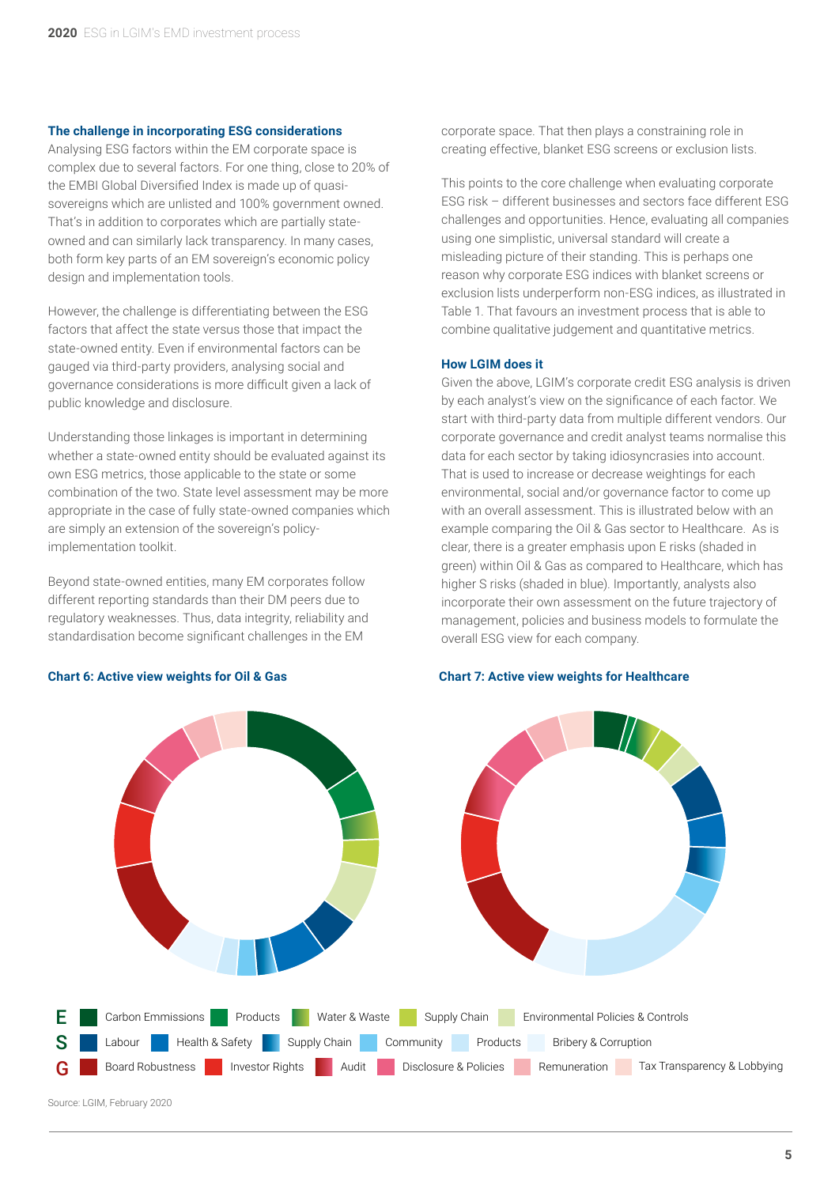#### **The challenge in incorporating ESG considerations**

Analysing ESG factors within the EM corporate space is complex due to several factors. For one thing, close to 20% of the EMBI Global Diversified Index is made up of quasisovereigns which are unlisted and 100% government owned. That's in addition to corporates which are partially stateowned and can similarly lack transparency. In many cases, both form key parts of an EM sovereign's economic policy design and implementation tools.

However, the challenge is differentiating between the ESG factors that affect the state versus those that impact the state-owned entity. Even if environmental factors can be gauged via third-party providers, analysing social and governance considerations is more difficult given a lack of public knowledge and disclosure.

Understanding those linkages is important in determining whether a state-owned entity should be evaluated against its own ESG metrics, those applicable to the state or some combination of the two. State level assessment may be more appropriate in the case of fully state-owned companies which are simply an extension of the sovereign's policyimplementation toolkit.

Beyond state-owned entities, many EM corporates follow different reporting standards than their DM peers due to regulatory weaknesses. Thus, data integrity, reliability and standardisation become significant challenges in the EM

#### **Chart 6: Active view weights for Oil & Gas Chart 7: Active view weights for Healthcare**

corporate space. That then plays a constraining role in creating effective, blanket ESG screens or exclusion lists.

This points to the core challenge when evaluating corporate ESG risk – different businesses and sectors face different ESG challenges and opportunities. Hence, evaluating all companies using one simplistic, universal standard will create a misleading picture of their standing. This is perhaps one reason why corporate ESG indices with blanket screens or exclusion lists underperform non-ESG indices, as illustrated in Table 1. That favours an investment process that is able to combine qualitative judgement and quantitative metrics.

#### **How LGIM does it**

Given the above, LGIM's corporate credit ESG analysis is driven by each analyst's view on the significance of each factor. We start with third-party data from multiple different vendors. Our corporate governance and credit analyst teams normalise this data for each sector by taking idiosyncrasies into account. That is used to increase or decrease weightings for each environmental, social and/or governance factor to come up with an overall assessment. This is illustrated below with an example comparing the Oil & Gas sector to Healthcare. As is clear, there is a greater emphasis upon E risks (shaded in green) within Oil & Gas as compared to Healthcare, which has higher S risks (shaded in blue). Importantly, analysts also incorporate their own assessment on the future trajectory of management, policies and business models to formulate the overall ESG view for each company.

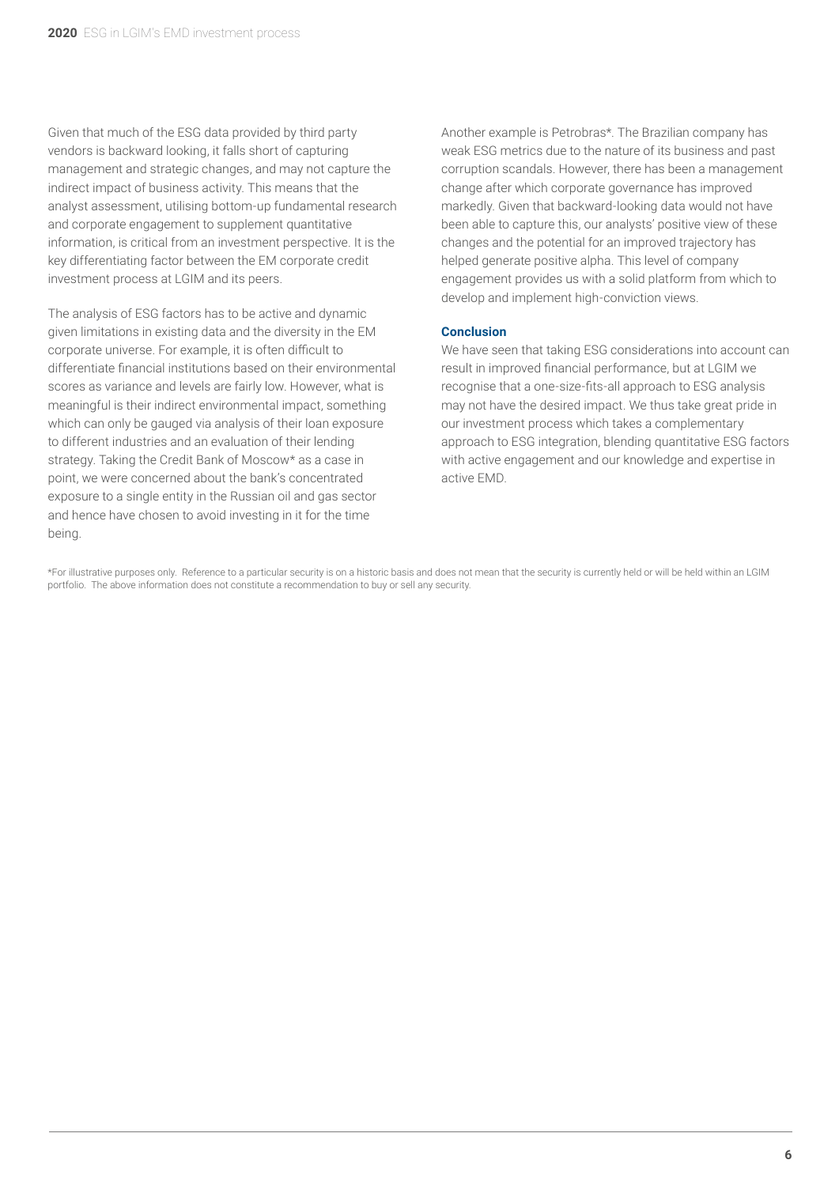Given that much of the ESG data provided by third party vendors is backward looking, it falls short of capturing management and strategic changes, and may not capture the indirect impact of business activity. This means that the analyst assessment, utilising bottom-up fundamental research and corporate engagement to supplement quantitative information, is critical from an investment perspective. It is the key differentiating factor between the EM corporate credit investment process at LGIM and its peers.

The analysis of ESG factors has to be active and dynamic given limitations in existing data and the diversity in the EM corporate universe. For example, it is often difficult to differentiate financial institutions based on their environmental scores as variance and levels are fairly low. However, what is meaningful is their indirect environmental impact, something which can only be gauged via analysis of their loan exposure to different industries and an evaluation of their lending strategy. Taking the Credit Bank of Moscow\* as a case in point, we were concerned about the bank's concentrated exposure to a single entity in the Russian oil and gas sector and hence have chosen to avoid investing in it for the time being.

Another example is Petrobras\*. The Brazilian company has weak ESG metrics due to the nature of its business and past corruption scandals. However, there has been a management change after which corporate governance has improved markedly. Given that backward-looking data would not have been able to capture this, our analysts' positive view of these changes and the potential for an improved trajectory has helped generate positive alpha. This level of company engagement provides us with a solid platform from which to develop and implement high-conviction views.

#### **Conclusion**

We have seen that taking ESG considerations into account can result in improved financial performance, but at LGIM we recognise that a one-size-fits-all approach to ESG analysis may not have the desired impact. We thus take great pride in our investment process which takes a complementary approach to ESG integration, blending quantitative ESG factors with active engagement and our knowledge and expertise in active EMD.

\*For illustrative purposes only. Reference to a particular security is on a historic basis and does not mean that the security is currently held or will be held within an LGIM portfolio. The above information does not constitute a recommendation to buy or sell any security.